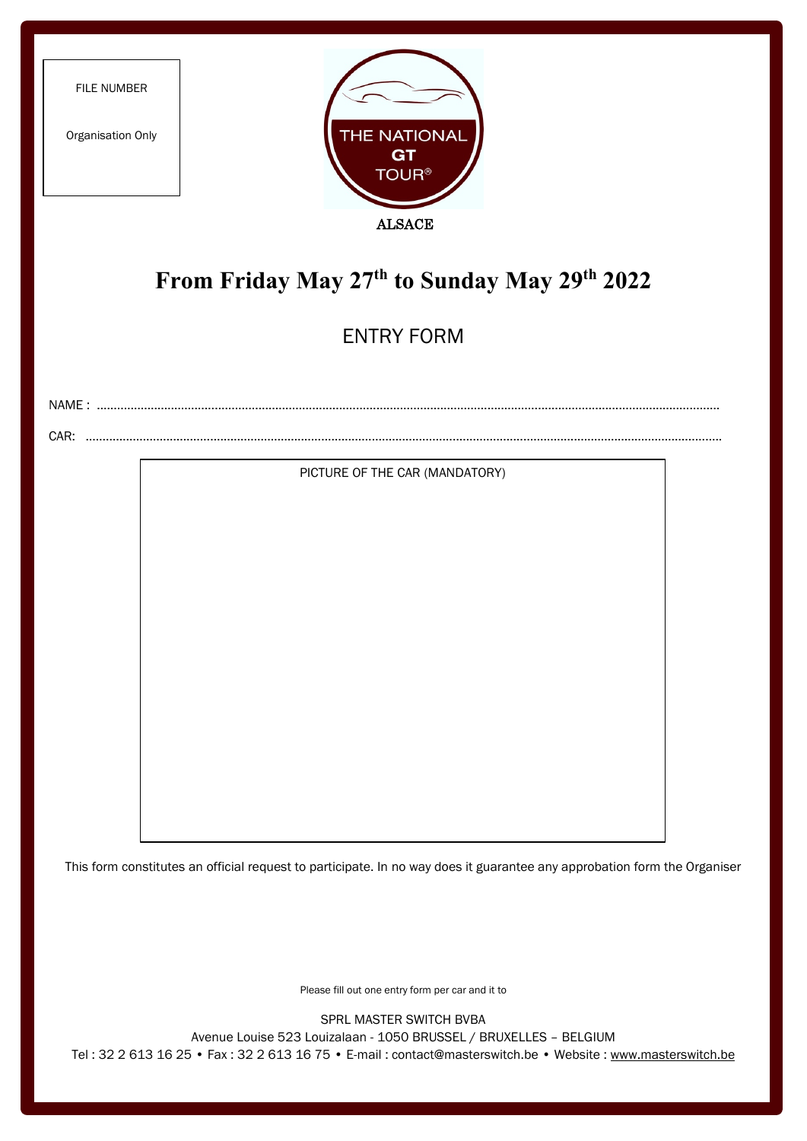| FILE NUMBER<br>Organisation Only             | THE NATIONAL<br>GT<br><b>TOUR®</b><br><b>ALSACE</b> |  |  |
|----------------------------------------------|-----------------------------------------------------|--|--|
| From Friday May 27th to Sunday May 29th 2022 |                                                     |  |  |
|                                              | <b>ENTRY FORM</b>                                   |  |  |
|                                              |                                                     |  |  |
|                                              | PICTURE OF THE CAR (MANDATORY)                      |  |  |

This form constitutes an official request to participate. In no way does it guarantee any approbation form the Organiser

Please fill out one entry form per car and it to

SPRL MASTER SWITCH BVBA

Avenue Louise 523 Louizalaan - 1050 BRUSSEL / BRUXELLES – BELGIUM

Tel : 32 2 613 16 25 • Fax : 32 2 613 16 75 • E-mail : contact@masterswitch.be • Website : [www.masterswitch.be](http://www.masterswitch.be/)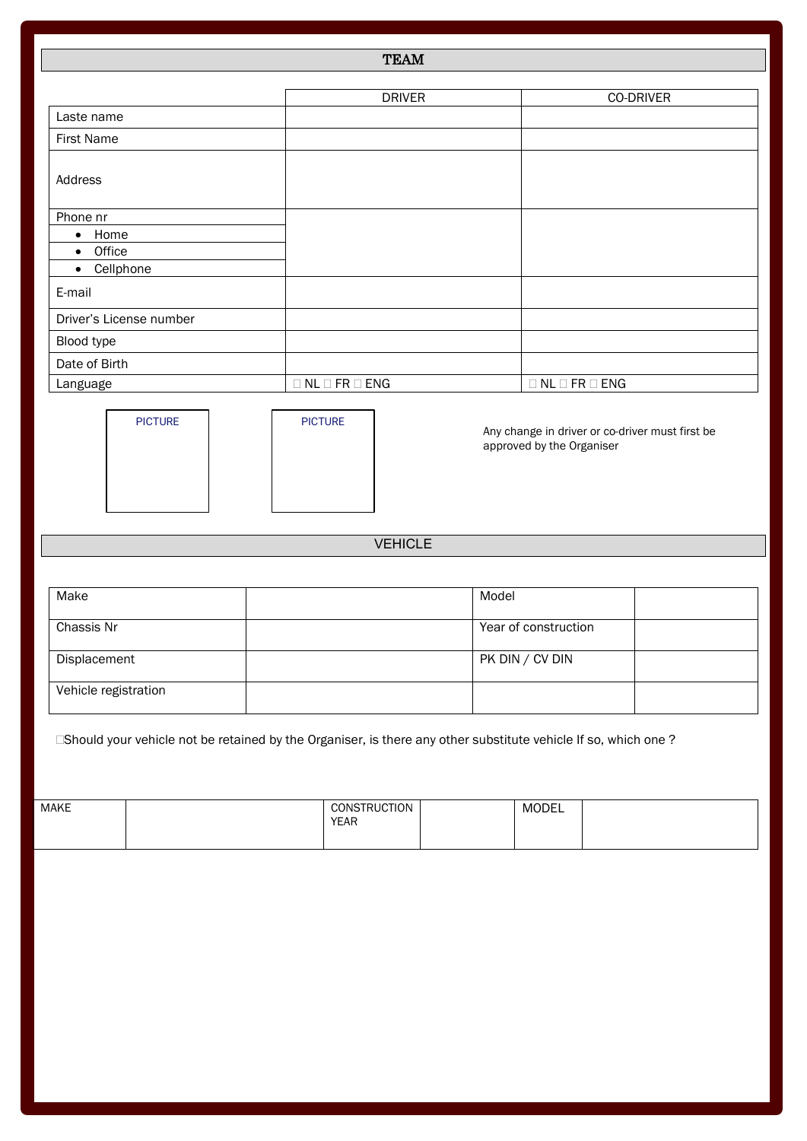## TEAM

|                         | <b>DRIVER</b>                  | CO-DRIVER                      |
|-------------------------|--------------------------------|--------------------------------|
| Laste name              |                                |                                |
| <b>First Name</b>       |                                |                                |
| Address                 |                                |                                |
| Phone nr                |                                |                                |
| Home<br>$\bullet$       |                                |                                |
| Office<br>$\bullet$     |                                |                                |
| Cellphone<br>$\bullet$  |                                |                                |
| E-mail                  |                                |                                |
| Driver's License number |                                |                                |
| Blood type              |                                |                                |
| Date of Birth           |                                |                                |
| Language                | $\Box$ NL $\Box$ FR $\Box$ ENG | $\Box$ NL $\Box$ FR $\Box$ ENG |



| <b>PICTURE</b> |  |
|----------------|--|
|                |  |
|                |  |
|                |  |
|                |  |

Any change in driver or co-driver must first be approved by the Organiser

## VEHICLE

| Make                 | Model                |
|----------------------|----------------------|
| Chassis Nr           | Year of construction |
| Displacement         | PK DIN / CV DIN      |
| Vehicle registration |                      |

Should your vehicle not be retained by the Organiser, is there any other substitute vehicle If so, which one ?

| <b>MAKE</b> | <b>CONSTRUCTION</b><br><b>VEAR</b><br><b>CAR</b> | MODEL |  |
|-------------|--------------------------------------------------|-------|--|
|             |                                                  |       |  |